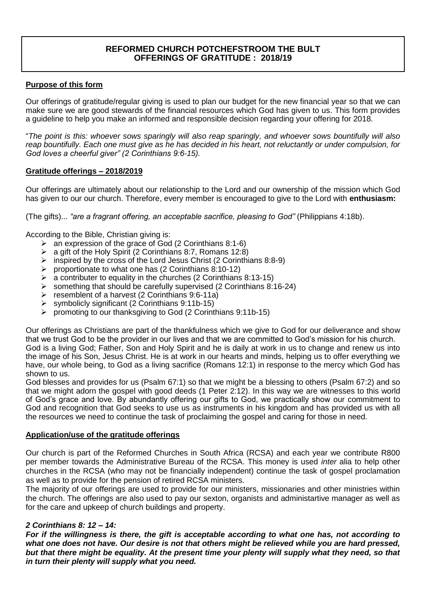# **REFORMED CHURCH POTCHEFSTROOM THE BULT OFFERINGS OF GRATITUDE : 2018/19**

## **Purpose of this form**

Our offerings of gratitude/regular giving is used to plan our budget for the new financial year so that we can make sure we are good stewards of the financial resources which God has given to us. This form provides a guideline to help you make an informed and responsible decision regarding your offering for 2018.

"*The point is this: whoever sows sparingly will also reap sparingly, and whoever sows bountifully will also reap bountifully. Each one must give as he has decided in his heart, not reluctantly or under compulsion, for God loves a cheerful giver" (2 Corinthians 9:6-15).* 

### **Gratitude offerings – 2018/2019**

Our offerings are ultimately about our relationship to the Lord and our ownership of the mission which God has given to our our church. Therefore, every member is encouraged to give to the Lord with **enthusiasm:** 

(The gifts)... *"are a fragrant offering, an acceptable sacrifice, pleasing to God"* (Philippians 4:18b).

According to the Bible, Christian giving is:

- $\triangleright$  an expression of the grace of God (2 Corinthians 8:1-6)
- $\triangleright$  a gift of the Holy Spirit (2 Corinthians 8:7, Romans 12:8)
- $\triangleright$  inspired by the cross of the Lord Jesus Christ (2 Corinthians 8:8-9)
- $\triangleright$  proportionate to what one has (2 Corinthians 8:10-12)
- $\triangleright$  a contributer to equality in the churches (2 Corinthians 8:13-15)
- $\triangleright$  something that should be carefully supervised (2 Corinthians 8:16-24)
- $\triangleright$  resemblent of a harvest (2 Corinthians 9:6-11a)
- $\triangleright$  symbolicly significant (2 Corinthians 9:11b-15)
- $\triangleright$  promoting to our thanksgiving to God (2 Corinthians 9:11b-15)

Our offerings as Christians are part of the thankfulness which we give to God for our deliverance and show that we trust God to be the provider in our lives and that we are committed to God's mission for his church. God is a living God; Father, Son and Holy Spirit and he is daily at work in us to change and renew us into the image of his Son, Jesus Christ. He is at work in our hearts and minds, helping us to offer everything we have, our whole being, to God as a living sacrifice (Romans 12:1) in response to the mercy which God has shown to us.

God blesses and provides for us (Psalm 67:1) so that we might be a blessing to others (Psalm 67:2) and so that we might adorn the gospel with good deeds (1 Peter 2:12). In this way we are witnesses to this world of God's grace and love. By abundantly offering our gifts to God, we practically show our commitment to God and recognition that God seeks to use us as instruments in his kingdom and has provided us with all the resources we need to continue the task of proclaiming the gospel and caring for those in need.

#### **Application/use of the gratitude offerings**

Our church is part of the Reformed Churches in South Africa (RCSA) and each year we contribute R800 per member towards the Administrative Bureau of the RCSA. This money is used *inter* alia to help other churches in the RCSA (who may not be financially independent) continue the task of gospel proclamation as well as to provide for the pension of retired RCSA ministers.

The majority of our offerings are used to provide for our ministers, missionaries and other ministries within the church. The offerings are also used to pay our sexton, organists and administartive manager as well as for the care and upkeep of church buildings and property.

### *2 Corinthians 8: 12 – 14:*

*For if the willingness is there, the gift is acceptable according to what one has, not according to what one does not have. Our desire is not that others might be relieved while you are hard pressed, but that there might be equality. At the present time your plenty will supply what they need, so that in turn their plenty will supply what you need.*